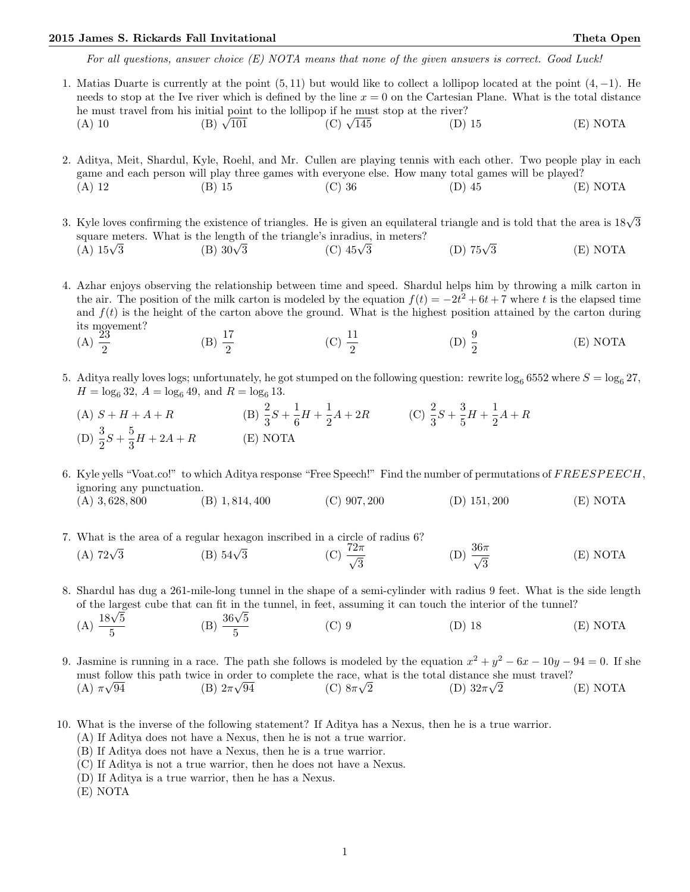For all questions, answer choice (E) NOTA means that none of the given answers is correct. Good Luck!

1. Matias Duarte is currently at the point (5, 11) but would like to collect a lollipop located at the point (4, −1). He needs to stop at the Ive river which is defined by the line  $x = 0$  on the Cartesian Plane. What is the total distance he must travel from his initial point to the lollipop if he must stop at the river?<br>
(A) 10 (B)  $\sqrt{101}$  (C)  $\sqrt{145}$  (D) (C)  $\sqrt{145}$  (D) 15 (E) NOTA

- 2. Aditya, Meit, Shardul, Kyle, Roehl, and Mr. Cullen are playing tennis with each other. Two people play in each game and each person will play three games with everyone else. How many total games will be played? (A) 12 (B) 15 (C) 36 (D) 45 (E) NOTA
- 3. Kyle loves confirming the existence of triangles. He is given an equilateral triangle and is told that the area is  $18\sqrt{3}$ square meters. What is the length of the triangle's inradius, in meters?<br>
(A)  $15\sqrt{3}$  (B)  $30\sqrt{3}$  (C)  $45\sqrt{3}$  $(A)$  15 $\sqrt{3}$ (C)  $45\sqrt{3}$  (D)  $75\sqrt{3}$ 3 (E) NOTA

4. Azhar enjoys observing the relationship between time and speed. Shardul helps him by throwing a milk carton in the air. The position of the milk carton is modeled by the equation  $f(t) = -2t^2 + 6t + 7$  where t is the elapsed time and  $f(t)$  is the height of the carton above the ground. What is the highest position attained by the carton during its movement?

- $(A) \frac{23}{2}$ (B)  $\frac{17}{2}$ (C)  $\frac{11}{2}$ (D)  $\frac{9}{2}$ (E) NOTA
- 5. Aditya really loves logs; unfortunately, he got stumped on the following question: rewrite  $\log_6 6552$  where  $S = \log_6 27$ ,  $H = \log_6 32$ ,  $A = \log_6 49$ , and  $R = \log_6 13$ .
	- (A)  $S + H + A + R$  (B)  $\frac{2}{3}S + \frac{1}{6}$  $\frac{1}{6}H + \frac{1}{2}$  $\frac{1}{2}A + 2R$  (C)  $\frac{2}{3}S + \frac{3}{5}$  $\frac{3}{5}H + \frac{1}{2}$  $\frac{1}{2}A + R$ (D)  $\frac{3}{2}S + \frac{5}{3}$  $\frac{3}{3}H + 2A + R$  (E) NOTA

6. Kyle yells "Voat.co!" to which Aditya response "Free Speech!" Find the number of permutations of FREESPEECH, ignoring any punctuation. (A) 3, 628, 800 (B) 1, 814, 400 (C) 907, 200 (D) 151, 200 (E) NOTA

- 7. What is the area of a regular hexagon inscribed in a circle of radius 6?<br>
(A)  $72\sqrt{3}$  (B)  $54\sqrt{3}$  (C)  $\frac{72\pi}{\sqrt{3}}$ 3 (D)  $\frac{36\pi}{\sqrt{2}}$ 3 (E) NOTA
- 8. Shardul has dug a 261-mile-long tunnel in the shape of a semi-cylinder with radius 9 feet. What is the side length of the largest cube that can fit in the tunnel, in feet, assuming it can touch the interior of the tunnel?<br>
(A)  $\frac{18\sqrt{5}}{5}$  (B)  $\frac{36\sqrt{5}}{5}$  (C) 9 (D) 18 (D)

A) 
$$
\frac{18\sqrt{5}}{5}
$$
 \t\t (B)  $\frac{36\sqrt{5}}{5}$  \t\t (C) 9 \t\t (D) 18 \t\t (E) NOTA

9. Jasmine is running in a race. The path she follows is modeled by the equation  $x^2 + y^2 - 6x - 10y - 94 = 0$ . If she must follow this path twice in order to complete the race, what is the total distance she must travel? (A)  $\pi\sqrt{94}$ (B)  $2\pi\sqrt{94}$ (C)  $8\pi\sqrt{2}$ (D)  $32\pi\sqrt{2}$  $(E) NOTA$ 

- 10. What is the inverse of the following statement? If Aditya has a Nexus, then he is a true warrior.
	- (A) If Aditya does not have a Nexus, then he is not a true warrior.
	- (B) If Aditya does not have a Nexus, then he is a true warrior.
	- (C) If Aditya is not a true warrior, then he does not have a Nexus.
	- (D) If Aditya is a true warrior, then he has a Nexus.
	- (E) NOTA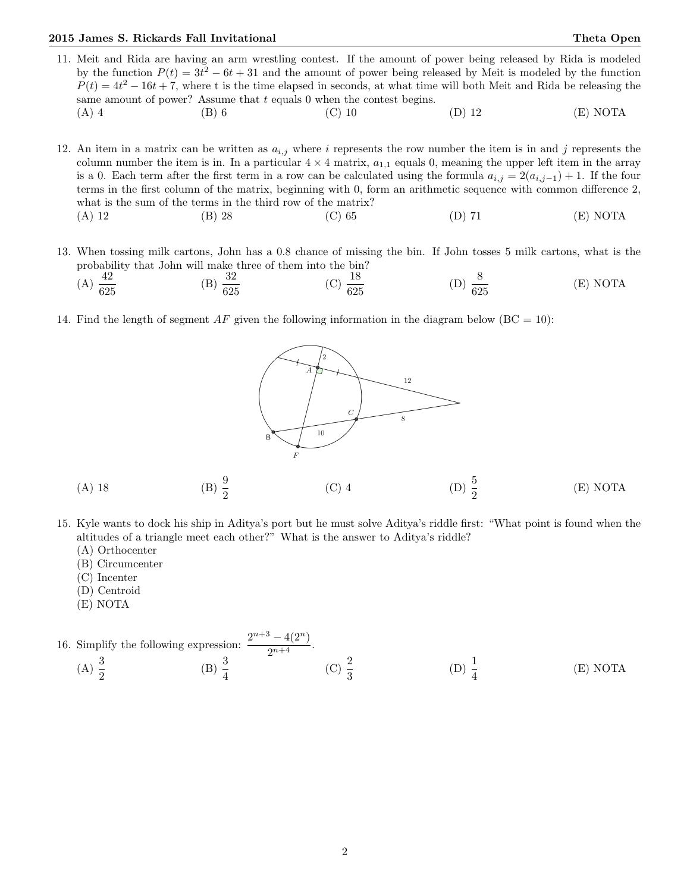11. Meit and Rida are having an arm wrestling contest. If the amount of power being released by Rida is modeled by the function  $P(t) = 3t^2 - 6t + 31$  and the amount of power being released by Meit is modeled by the function  $P(t) = 4t^2 - 16t + 7$ , where t is the time elapsed in seconds, at what time will both Meit and Rida be releasing the same amount of power? Assume that  $t$  equals 0 when the contest begins. (A) 4 (B) 6 (C) 10 (D) 12 (E) NOTA

12. An item in a matrix can be written as  $a_{i,j}$  where i represents the row number the item is in and j represents the column number the item is in. In a particular  $4 \times 4$  matrix,  $a_{1,1}$  equals 0, meaning the upper left item in the array is a 0. Each term after the first term in a row can be calculated using the formula  $a_{i,j} = 2(a_{i,j-1}) + 1$ . If the four terms in the first column of the matrix, beginning with 0, form an arithmetic sequence with common difference 2, what is the sum of the terms in the third row of the matrix? (A) 12 (B) 28 (C) 65 (D) 71 (E) NOTA

13. When tossing milk cartons, John has a 0.8 chance of missing the bin. If John tosses 5 milk cartons, what is the probability that John will make three of them into the bin?

(A) 
$$
\frac{42}{625}
$$
 (B)  $\frac{32}{625}$  (C)  $\frac{18}{625}$  (D)  $\frac{8}{625}$  (E) NOTA

14. Find the length of segment  $AF$  given the following information in the diagram below ( $BC = 10$ ):



- 15. Kyle wants to dock his ship in Aditya's port but he must solve Aditya's riddle first: "What point is found when the altitudes of a triangle meet each other?" What is the answer to Aditya's riddle?
	- (A) Orthocenter
	- (B) Circumcenter
	- (C) Incenter
	- (D) Centroid
	- (E) NOTA

16. Simplify the following expression: 
$$
\frac{2^{n+3} - 4(2^n)}{2^{n+4}}
$$
.  
\n(A)  $\frac{3}{2}$  (B)  $\frac{3}{4}$  (C)  $\frac{2}{3}$  (D)  $\frac{1}{4}$  (E) NOTA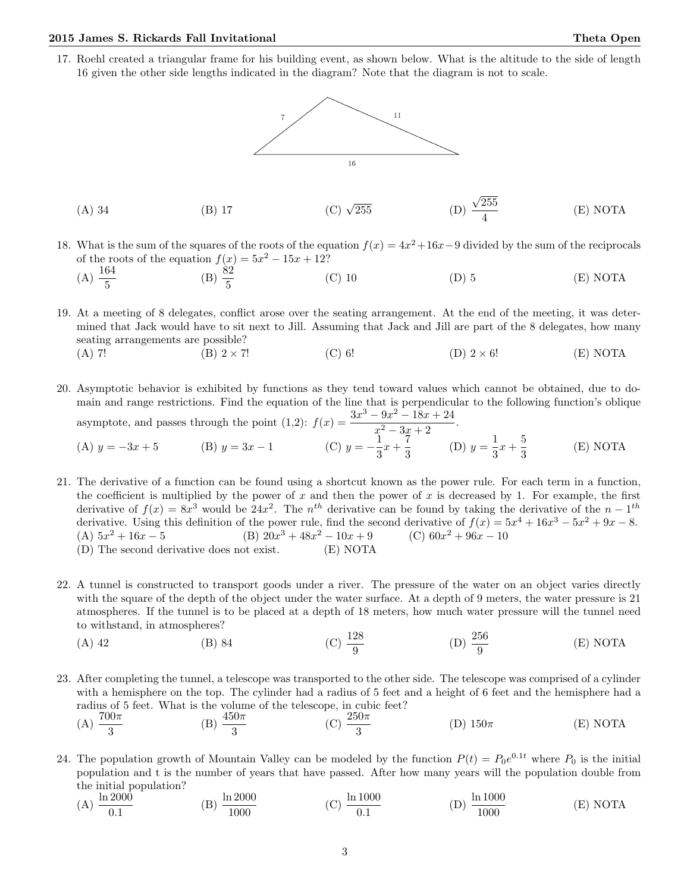17. Roehl created a triangular frame for his building event, as shown below. What is the altitude to the side of length 16 given the other side lengths indicated in the diagram? Note that the diagram is not to scale.





- 18. What is the sum of the squares of the roots of the equation  $f(x) = 4x^2 + 16x 9$  divided by the sum of the reciprocals of the roots of the equation  $f(x) = 5x^2 - 15x + 12$ ?
	- (A)  $\frac{164}{5}$  (B)  $\frac{82}{5}$ (C) 10 (D) 5 (E) NOTA

19. At a meeting of 8 delegates, conflict arose over the seating arrangement. At the end of the meeting, it was determined that Jack would have to sit next to Jill. Assuming that Jack and Jill are part of the 8 delegates, how many seating arrangements are possible?

- (A) 7! (B) 2 × 7! (C) 6! (D) 2 × 6! (E) NOTA
- 20. Asymptotic behavior is exhibited by functions as they tend toward values which cannot be obtained, due to domain and range restrictions. Find the equation of the line that is perpendicular to the following function's oblique asymptote, and passes through the point  $(1,2)$ :  $f(x) = \frac{3x^3 - 9x^2 - 18x + 24}{x^2 - 9x + 24}$  $\frac{c x}{x^2-3x+2}$ .

(A) 
$$
y = -3x + 5
$$
 (B)  $y = 3x - 1$  (C)  $y = -\frac{1}{3}x + \frac{7}{3}$  (D)  $y = \frac{1}{3}x + \frac{5}{3}$  (E) NOTA

- 21. The derivative of a function can be found using a shortcut known as the power rule. For each term in a function, the coefficient is multiplied by the power of x and then the power of x is decreased by 1. For example, the first derivative of  $f(x) = 8x^3$  would be  $24x^2$ . The  $n<sup>th</sup>$  derivative can be found by taking the derivative of the  $n-1<sup>th</sup>$ derivative. Using this definition of the power rule, find the second derivative of  $f(x) = 5x^4 + 16x^3 - 5x^2 + 9x - 8$ . (A)  $5x^2 + 16x - 5$  (B)  $20x$  $3 + 48x^2 - 10x + 9$  (C)  $60x$  $(C)$  60 $x^2 + 96x - 10$ (D) The second derivative does not exist. (E) NOTA
- 22. A tunnel is constructed to transport goods under a river. The pressure of the water on an object varies directly with the square of the depth of the object under the water surface. At a depth of 9 meters, the water pressure is 21 atmospheres. If the tunnel is to be placed at a depth of 18 meters, how much water pressure will the tunnel need to withstand, in atmospheres?
	- (A) 42 (B) 84 (C)  $\frac{128}{9}$ (D)  $\frac{256}{9}$ (E) NOTA

23. After completing the tunnel, a telescope was transported to the other side. The telescope was comprised of a cylinder with a hemisphere on the top. The cylinder had a radius of 5 feet and a height of 6 feet and the hemisphere had a radius of 5 feet. What is the volume of the telescope, in cubic feet? (A)  $\frac{700\pi}{3}$ (B)  $\frac{450\pi}{3}$ (C)  $\frac{250\pi}{3}$ (D)  $150\pi$  (E) NOTA

24. The population growth of Mountain Valley can be modeled by the function  $P(t) = P_0 e^{0.1t}$  where  $P_0$  is the initial population and t is the number of years that have passed. After how many years will the population double from the initial population?

(A) 
$$
\frac{\ln 2000}{0.1}
$$
 (B)  $\frac{\ln 2000}{1000}$  (C)  $\frac{\ln 1000}{0.1}$  (D)  $\frac{\ln 1000}{1000}$  (E) NOTA